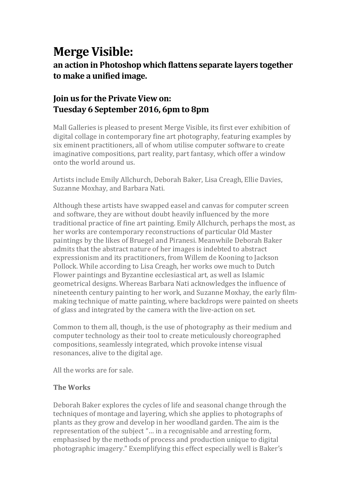# **Merge Visible:**

an action in Photoshop which flattens separate layers together to make a unified image.

## **Join us for the Private View on: Tuesday 6 September 2016, 6pm to 8pm**

Mall Galleries is pleased to present Merge Visible, its first ever exhibition of digital collage in contemporary fine art photography, featuring examples by six eminent practitioners, all of whom utilise computer software to create imaginative compositions, part reality, part fantasy, which offer a window onto the world around us.

Artists include Emily Allchurch, Deborah Baker, Lisa Creagh, Ellie Davies, Suzanne Moxhay, and Barbara Nati.

Although these artists have swapped easel and canvas for computer screen and software, they are without doubt heavily influenced by the more traditional practice of fine art painting. Emily Allchurch, perhaps the most, as her works are contemporary reconstructions of particular Old Master paintings by the likes of Bruegel and Piranesi. Meanwhile Deborah Baker admits that the abstract nature of her images is indebted to abstract expressionism and its practitioners, from Willem de Kooning to Jackson Pollock. While according to Lisa Creagh, her works owe much to Dutch Flower paintings and Byzantine ecclesiastical art, as well as Islamic geometrical designs. Whereas Barbara Nati acknowledges the influence of nineteenth century painting to her work, and Suzanne Moxhay, the early filmmaking technique of matte painting, where backdrops were painted on sheets of glass and integrated by the camera with the live-action on set.

Common to them all, though, is the use of photography as their medium and computer technology as their tool to create meticulously choreographed compositions, seamlessly integrated, which provoke intense visual resonances, alive to the digital age.

All the works are for sale.

#### **The Works**

Deborah Baker explores the cycles of life and seasonal change through the techniques of montage and layering, which she applies to photographs of plants as they grow and develop in her woodland garden. The aim is the representation of the subject "... in a recognisable and arresting form, emphasised by the methods of process and production unique to digital photographic imagery." Exemplifying this effect especially well is Baker's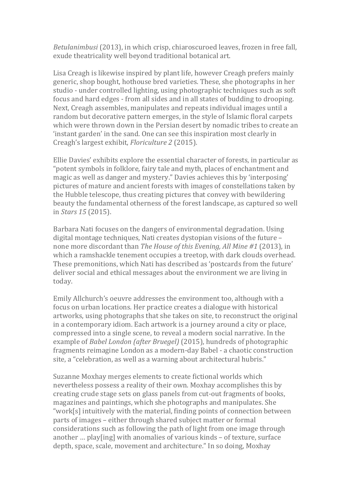*Betulanimbusi* (2013), in which crisp, chiaroscuroed leaves, frozen in free fall, exude theatricality well beyond traditional botanical art.

Lisa Creagh is likewise inspired by plant life, however Creagh prefers mainly generic, shop bought, hothouse bred varieties. These, she photographs in her studio - under controlled lighting, using photographic techniques such as soft focus and hard edges - from all sides and in all states of budding to drooping. Next, Creagh assembles, manipulates and repeats individual images until a random but decorative pattern emerges, in the style of Islamic floral carpets which were thrown down in the Persian desert by nomadic tribes to create an 'instant garden' in the sand. One can see this inspiration most clearly in Creagh's largest exhibit, *Floriculture 2* (2015).

Ellie Davies' exhibits explore the essential character of forests, in particular as "potent symbols in folklore, fairy tale and myth, places of enchantment and magic as well as danger and mystery." Davies achieves this by 'interposing' pictures of mature and ancient forests with images of constellations taken by the Hubble telescope, thus creating pictures that convey with bewildering beauty the fundamental otherness of the forest landscape, as captured so well in *Stars*, 15<sup>(2015).</sup>

Barbara Nati focuses on the dangers of environmental degradation. Using digital montage techniques, Nati creates dystopian visions of the future – none more discordant than *The House of this Evening, All Mine #1* (2013), in which a ramshackle tenement occupies a treetop, with dark clouds overhead. These premonitions, which Nati has described as 'postcards from the future' deliver social and ethical messages about the environment we are living in today.

Emily Allchurch's oeuvre addresses the environment too, although with a focus on urban locations. Her practice creates a dialogue with historical artworks, using photographs that she takes on site, to reconstruct the original in a contemporary idiom. Each artwork is a journey around a city or place, compressed into a single scene, to reveal a modern social narrative. In the example of *Babel London (after Bruegel)* (2015), hundreds of photographic fragments reimagine London as a modern-day Babel - a chaotic construction site, a "celebration, as well as a warning about architectural hubris."

Suzanne Moxhay merges elements to create fictional worlds which nevertheless possess a reality of their own. Moxhay accomplishes this by creating crude stage sets on glass panels from cut-out fragments of books, magazines and paintings, which she photographs and manipulates. She "work[s] intuitively with the material, finding points of connection between parts of images – either through shared subject matter or formal considerations such as following the path of light from one image through another … play[ing] with anomalies of various kinds – of texture, surface depth, space, scale, movement and architecture." In so doing, Moxhay